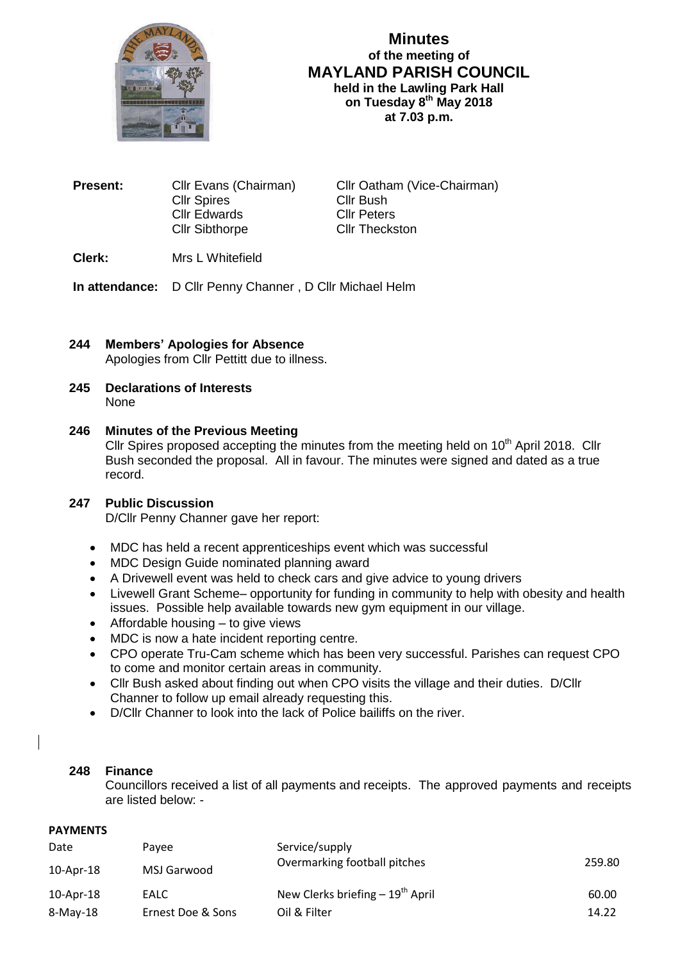

# **Minutes of the meeting of MAYLAND PARISH COUNCIL held in the Lawling Park Hall on Tuesday 8 th May 2018 at 7.03 p.m.**

| <b>Present:</b> | Cllr Evans (Chairman) | Cl <sub>l</sub> |
|-----------------|-----------------------|-----------------|
|                 | <b>Cllr Spires</b>    | Cllr I          |
|                 | <b>Cllr Edwards</b>   | Cllr I          |
|                 | <b>Cllr Sibthorpe</b> | ClIr            |
|                 |                       |                 |

**Patham (Vice-Chairman)** Bush Peters **Theckston** 

# **Clerk:** Mrs L Whitefield

**In attendance:** D Cllr Penny Channer , D Cllr Michael Helm

# **244 Members' Apologies for Absence** Apologies from Cllr Pettitt due to illness.

**245 Declarations of Interests** None

# **246 Minutes of the Previous Meeting**

Cllr Spires proposed accepting the minutes from the meeting held on  $10<sup>th</sup>$  April 2018. Cllr Bush seconded the proposal. All in favour. The minutes were signed and dated as a true record.

# **247 Public Discussion**

D/Cllr Penny Channer gave her report:

- MDC has held a recent apprenticeships event which was successful
- MDC Design Guide nominated planning award
- A Drivewell event was held to check cars and give advice to young drivers
- Livewell Grant Scheme– opportunity for funding in community to help with obesity and health issues. Possible help available towards new gym equipment in our village.
- $\bullet$  Affordable housing  $-$  to give views
- MDC is now a hate incident reporting centre.
- CPO operate Tru-Cam scheme which has been very successful. Parishes can request CPO to come and monitor certain areas in community.
- Cllr Bush asked about finding out when CPO visits the village and their duties. D/Cllr Channer to follow up email already requesting this.
- D/Cllr Channer to look into the lack of Police bailiffs on the river.

#### **248 Finance**

Councillors received a list of all payments and receipts. The approved payments and receipts are listed below: -

### **PAYMENTS**

| Date            | Pavee             | Service/supply                       |        |
|-----------------|-------------------|--------------------------------------|--------|
| $10$ -Apr- $18$ | MSJ Garwood       | Overmarking football pitches         | 259.80 |
| $10$ -Apr- $18$ | EALC              | New Clerks briefing $-19^{th}$ April | 60.00  |
| $8$ -May-18     | Ernest Doe & Sons | Oil & Filter                         | 14.22  |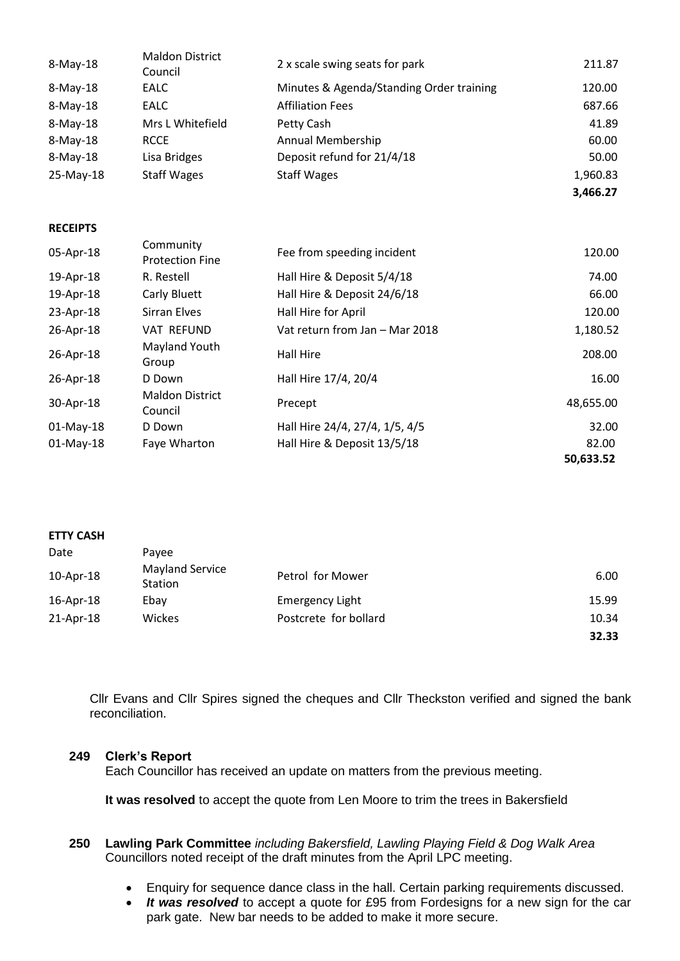| 8-May-18  | <b>Maldon District</b><br>Council | 2 x scale swing seats for park           | 211.87   |
|-----------|-----------------------------------|------------------------------------------|----------|
| 8-May-18  | EALC                              | Minutes & Agenda/Standing Order training | 120.00   |
| 8-May-18  | EALC                              | <b>Affiliation Fees</b>                  | 687.66   |
| 8-May-18  | Mrs L Whitefield                  | Petty Cash                               | 41.89    |
| 8-May-18  | <b>RCCE</b>                       | Annual Membership                        | 60.00    |
| 8-May-18  | Lisa Bridges                      | Deposit refund for 21/4/18               | 50.00    |
| 25-May-18 | <b>Staff Wages</b>                | <b>Staff Wages</b>                       | 1,960.83 |

**3,466.27**

#### **RECEIPTS**

| 05-Apr-18    | Community<br><b>Protection Fine</b> | Fee from speeding incident     | 120.00    |
|--------------|-------------------------------------|--------------------------------|-----------|
| 19-Apr-18    | R. Restell                          | Hall Hire & Deposit 5/4/18     | 74.00     |
| 19-Apr-18    | Carly Bluett                        | Hall Hire & Deposit 24/6/18    | 66.00     |
| 23-Apr-18    | Sirran Elves                        | Hall Hire for April            | 120.00    |
| 26-Apr-18    | <b>VAT REFUND</b>                   | Vat return from Jan - Mar 2018 | 1,180.52  |
| 26-Apr-18    | Mayland Youth<br>Group              | <b>Hall Hire</b>               | 208.00    |
| 26-Apr-18    | D Down                              | Hall Hire 17/4, 20/4           | 16.00     |
| 30-Apr-18    | <b>Maldon District</b><br>Council   | Precept                        | 48,655.00 |
| $01$ -May-18 | D Down                              | Hall Hire 24/4, 27/4, 1/5, 4/5 | 32.00     |
| $01$ -May-18 | Faye Wharton                        | Hall Hire & Deposit 13/5/18    | 82.00     |
|              |                                     |                                | 50,633.52 |

#### **ETTY CASH**

| Date      | Pavee                             |                        |       |
|-----------|-----------------------------------|------------------------|-------|
| 10-Apr-18 | <b>Mayland Service</b><br>Station | Petrol for Mower       | 6.00  |
| 16-Apr-18 | Ebay                              | <b>Emergency Light</b> | 15.99 |
| 21-Apr-18 | Wickes                            | Postcrete for bollard  | 10.34 |
|           |                                   |                        | 32.33 |

Cllr Evans and Cllr Spires signed the cheques and Cllr Theckston verified and signed the bank reconciliation.

#### **249 Clerk's Report**

Each Councillor has received an update on matters from the previous meeting.

**It was resolved** to accept the quote from Len Moore to trim the trees in Bakersfield

- **250 Lawling Park Committee** *including Bakersfield, Lawling Playing Field & Dog Walk Area* Councillors noted receipt of the draft minutes from the April LPC meeting.
	- Enquiry for sequence dance class in the hall. Certain parking requirements discussed.
	- *It was resolved* to accept a quote for £95 from Fordesigns for a new sign for the car park gate. New bar needs to be added to make it more secure.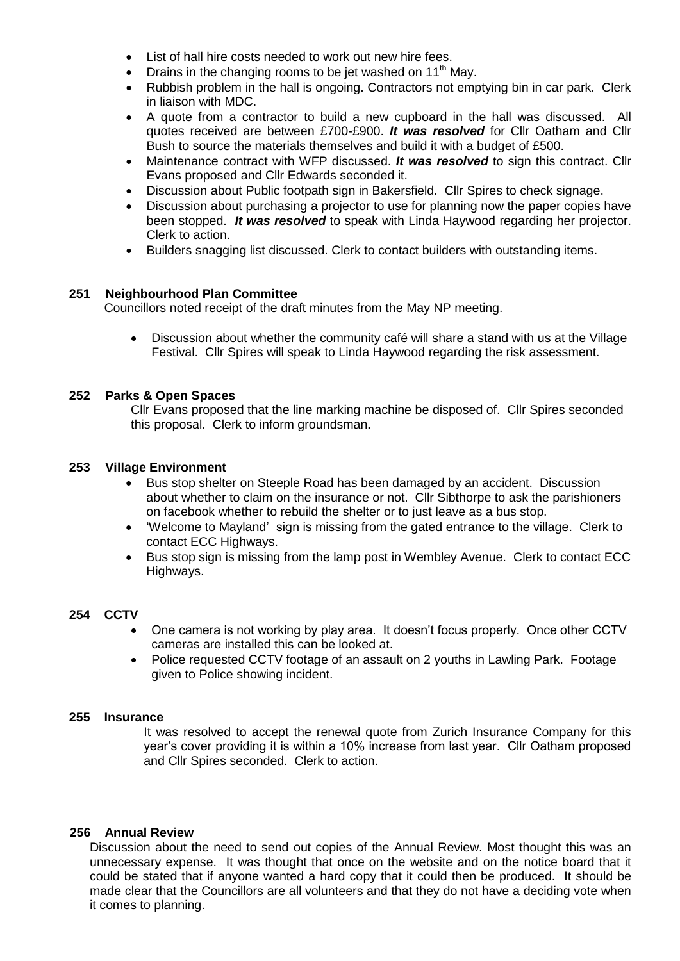- List of hall hire costs needed to work out new hire fees.
- Drains in the changing rooms to be jet washed on 11<sup>th</sup> May.
- Rubbish problem in the hall is ongoing. Contractors not emptying bin in car park. Clerk in liaison with MDC.
- A quote from a contractor to build a new cupboard in the hall was discussed. All quotes received are between £700-£900. *It was resolved* for Cllr Oatham and Cllr Bush to source the materials themselves and build it with a budget of £500.
- Maintenance contract with WFP discussed. *It was resolved* to sign this contract. Cllr Evans proposed and Cllr Edwards seconded it.
- Discussion about Public footpath sign in Bakersfield. Cllr Spires to check signage.
- Discussion about purchasing a projector to use for planning now the paper copies have been stopped. *It was resolved* to speak with Linda Haywood regarding her projector. Clerk to action.
- Builders snagging list discussed. Clerk to contact builders with outstanding items.

# **251 Neighbourhood Plan Committee**

Councillors noted receipt of the draft minutes from the May NP meeting.

 Discussion about whether the community café will share a stand with us at the Village Festival. Cllr Spires will speak to Linda Haywood regarding the risk assessment.

# **252 Parks & Open Spaces**

Cllr Evans proposed that the line marking machine be disposed of. Cllr Spires seconded this proposal. Clerk to inform groundsman**.**

# **253 Village Environment**

- Bus stop shelter on Steeple Road has been damaged by an accident. Discussion about whether to claim on the insurance or not. Cllr Sibthorpe to ask the parishioners on facebook whether to rebuild the shelter or to just leave as a bus stop.
- 'Welcome to Mayland' sign is missing from the gated entrance to the village. Clerk to contact ECC Highways.
- Bus stop sign is missing from the lamp post in Wembley Avenue. Clerk to contact ECC Highways.

# **254 CCTV**

- One camera is not working by play area. It doesn't focus properly. Once other CCTV cameras are installed this can be looked at.
- Police requested CCTV footage of an assault on 2 youths in Lawling Park. Footage given to Police showing incident.

# **255 Insurance**

It was resolved to accept the renewal quote from Zurich Insurance Company for this year's cover providing it is within a 10% increase from last year. Cllr Oatham proposed and Cllr Spires seconded. Clerk to action.

# **256 Annual Review**

Discussion about the need to send out copies of the Annual Review. Most thought this was an unnecessary expense. It was thought that once on the website and on the notice board that it could be stated that if anyone wanted a hard copy that it could then be produced. It should be made clear that the Councillors are all volunteers and that they do not have a deciding vote when it comes to planning.